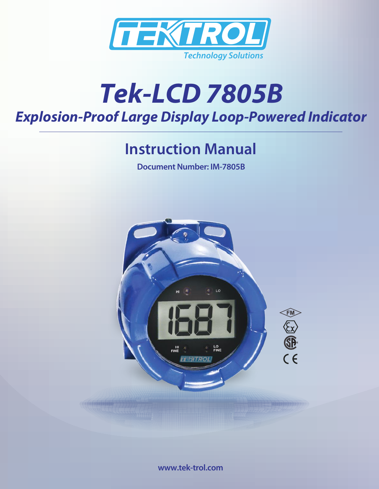

# *Explosion-Proof Large Display Loop-Powered Indicator Tek-LCD 7805B*

## **Instruction Manual**

**Document Number: IM-7805B**



**www.tek-trol.com**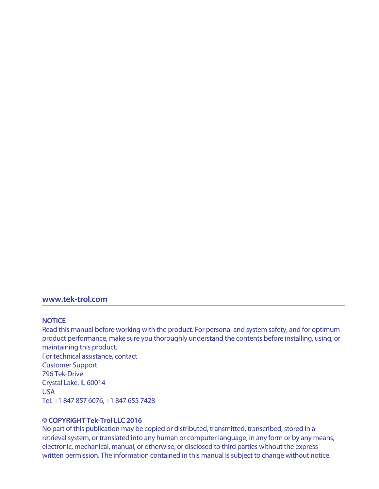#### **www.tek-trol.com**

#### **NOTICE**

Read this manual before working with the product. For personal and system safety, and for optimum product performance, make sure you thoroughly understand the contents before installing, using, or maintaining this product. For technical assistance, contact Customer Support 796 Tek-Drive Crystal Lake, IL 60014 USA

Tel: +1 847 857 6076, +1 847 655 7428

#### **© COPYRIGHT Tek-Trol LLC 2016**

No part of this publication may be copied or distributed, transmitted, transcribed, stored in a retrieval system, or translated into any human or computer language, in any form or by any means, electronic, mechanical, manual, or otherwise, or disclosed to third parties without the express written permission. The information contained in this manual is subject to change without notice.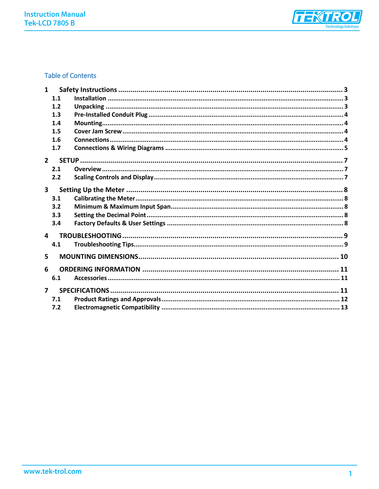

## **Table of Contents**

| $\mathbf{1}$   |     |  |  |
|----------------|-----|--|--|
|                | 1.1 |  |  |
|                | 1.2 |  |  |
|                | 1.3 |  |  |
|                | 1.4 |  |  |
|                | 1.5 |  |  |
|                | 1.6 |  |  |
|                | 1.7 |  |  |
| $2^{\circ}$    |     |  |  |
|                | 2.1 |  |  |
|                | 2.2 |  |  |
| $\mathbf{3}$   |     |  |  |
|                | 3.1 |  |  |
|                | 3.2 |  |  |
|                | 3.3 |  |  |
|                | 3.4 |  |  |
| $\Delta$       |     |  |  |
|                | 4.1 |  |  |
| 5              |     |  |  |
| 6              |     |  |  |
|                | 6.1 |  |  |
| $\overline{ }$ |     |  |  |
|                | 7.1 |  |  |
|                | 7.2 |  |  |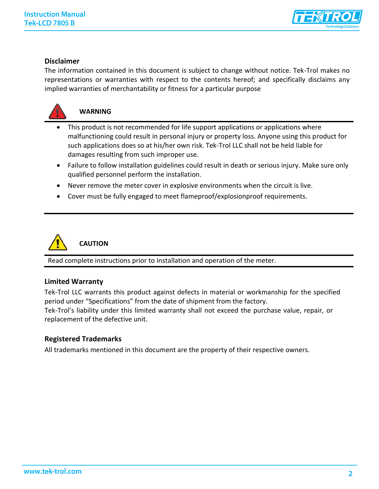

## **Disclaimer**

The information contained in this document is subject to change without notice. Tek-Trol makes no representations or warranties with respect to the contents hereof; and specifically disclaims any implied warranties of merchantability or fitness for a particular purpose



## **WARNING**

- This product is not recommended for life support applications or applications where malfunctioning could result in personal injury or property loss. Anyone using this product for such applications does so at his/her own risk. Tek-Trol LLC shall not be held liable for damages resulting from such improper use.
- Failure to follow installation guidelines could result in death or serious injury. Make sure only qualified personnel perform the installation.
- Never remove the meter cover in explosive environments when the circuit is live.
- Cover must be fully engaged to meet flameproof/explosionproof requirements.



**CAUTION**

Read complete instructions prior to installation and operation of the meter.

## **Limited Warranty**

Tek-Trol LLC warrants this product against defects in material or workmanship for the specified period under "Specifications" from the date of shipment from the factory.

Tek-Trol's liability under this limited warranty shall not exceed the purchase value, repair, or replacement of the defective unit.

## **Registered Trademarks**

All trademarks mentioned in this document are the property of their respective owners.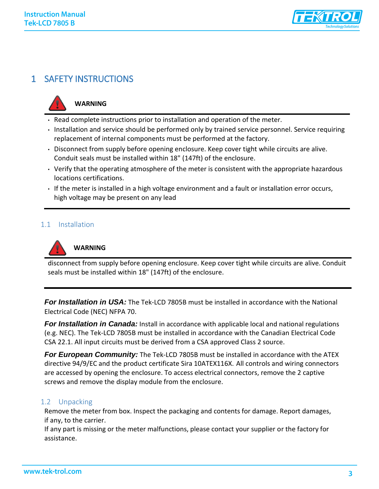

## <span id="page-4-0"></span>1 SAFETY INSTRUCTIONS



## **WARNING**

- Read complete instructions prior to installation and operation of the meter.
- Installation and service should be performed only by trained service personnel. Service requiring replacement of internal components must be performed at the factory.
- Disconnect from supply before opening enclosure. Keep cover tight while circuits are alive. Conduit seals must be installed within 18" (147ft) of the enclosure.
- Verify that the operating atmosphere of the meter is consistent with the appropriate hazardous locations certifications.
- If the meter is installed in a high voltage environment and a fault or installation error occurs, high voltage may be present on any lead

#### <span id="page-4-1"></span>1.1 Installation



## **WARNING**

disconnect from supply before opening enclosure. Keep cover tight while circuits are alive. Conduit seals must be installed within 18" (147ft) of the enclosure.

**For Installation in USA:** The Tek-LCD 7805B must be installed in accordance with the National Electrical Code (NEC) NFPA 70.

*For Installation in Canada:* Install in accordance with applicable local and national regulations (e.g. NEC). The Tek-LCD 7805B must be installed in accordance with the Canadian Electrical Code CSA 22.1. All input circuits must be derived from a CSA approved Class 2 source.

**For European Community:** The Tek-LCD 7805B must be installed in accordance with the ATEX directive 94/9/EC and the product certificate Sira 10ATEX116X. All controls and wiring connectors are accessed by opening the enclosure. To access electrical connectors, remove the 2 captive screws and remove the display module from the enclosure.

## <span id="page-4-2"></span>1.2 Unpacking

Remove the meter from box. Inspect the packaging and contents for damage. Report damages, if any, to the carrier.

If any part is missing or the meter malfunctions, please contact your supplier or the factory for assistance.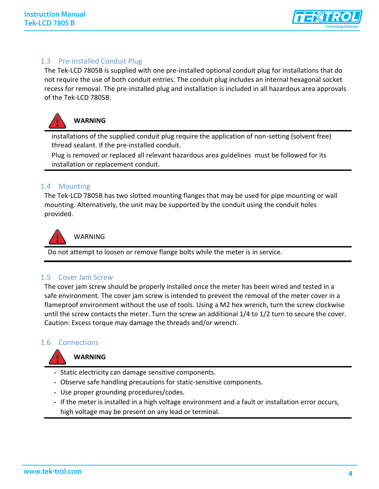

## <span id="page-5-0"></span>1.3 Pre-Installed Conduit Plug

The Tek-LCD 7805B is supplied with one pre-installed optional conduit plug for installations that do not require the use of both conduit entries. The conduit plug includes an internal hexagonal socket recess for removal. The pre-installed plug and installation is included in all hazardous area approvals of the Tek-LCD 7805B.



## **WARNING**

installations of the supplied conduit plug require the application of non-setting (solvent free) thread sealant. If the pre-installed conduit.

Plug is removed or replaced all relevant hazardous area guidelines must be followed for its installation or replacement conduit.

## <span id="page-5-1"></span>1.4 Mounting

The Tek-LCD 7805B has two slotted mounting flanges that may be used for pipe mounting or wall mounting. Alternatively, the unit may be supported by the conduit using the conduit holes provided.



WARNING

Do not attempt to loosen or remove flange bolts while the meter is in service.

## <span id="page-5-2"></span>1.5 Cover Jam Screw

The cover jam screw should be properly installed once the meter has been wired and tested in a safe environment. The cover jam screw is intended to prevent the removal of the meter cover in a flameproof environment without the use of tools. Using a M2 hex wrench, turn the screw clockwise until the screw contacts the meter. Turn the screw an additional 1/4 to 1/2 turn to secure the cover. Caution: Excess torque may damage the threads and/or wrench.

## <span id="page-5-3"></span>1.6 Connections



## **WARNING**

- Static electricity can damage sensitive components.
- Observe safe handling precautions for static-sensitive components.
- Use proper grounding procedures/codes.
- If the meter is installed in a high voltage environment and a fault or installation error occurs, high voltage may be present on any lead or terminal.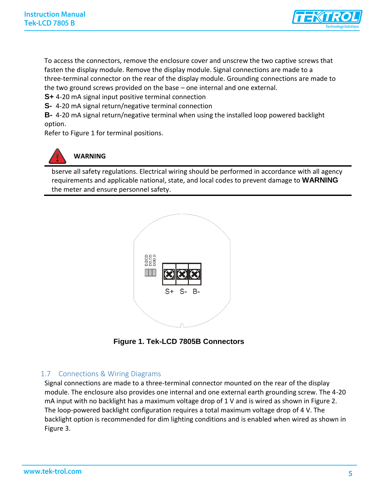

To access the connectors, remove the enclosure cover and unscrew the two captive screws that fasten the display module. Remove the display module. Signal connections are made to a three-terminal connector on the rear of the display module. Grounding connections are made to the two ground screws provided on the base – one internal and one external.

**S+** 4-20 mA signal input positive terminal connection

**S-** 4-20 mA signal return/negative terminal connection

**B-** 4-20 mA signal return/negative terminal when using the installed loop powered backlight option.

Refer to Figure 1 for terminal positions.



## **WARNING**

bserve all safety regulations. Electrical wiring should be performed in accordance with all agency requirements and applicable national, state, and local codes to prevent damage to **WARNING** the meter and ensure personnel safety.



**Figure 1. Tek-LCD 7805B Connectors** 

## <span id="page-6-0"></span>1.7 Connections & Wiring Diagrams

Signal connections are made to a three-terminal connector mounted on the rear of the display module. The enclosure also provides one internal and one external earth grounding screw. The 4-20 mA input with no backlight has a maximum voltage drop of 1 V and is wired as shown in Figure 2. The loop-powered backlight configuration requires a total maximum voltage drop of 4 V. The backlight option is recommended for dim lighting conditions and is enabled when wired as shown in Figure 3.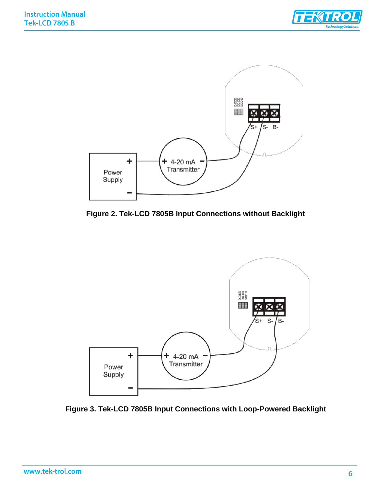



**Figure 2. Tek-LCD 7805B Input Connections without Backlight** 



**Figure 3. Tek-LCD 7805B Input Connections with Loop-Powered Backlight**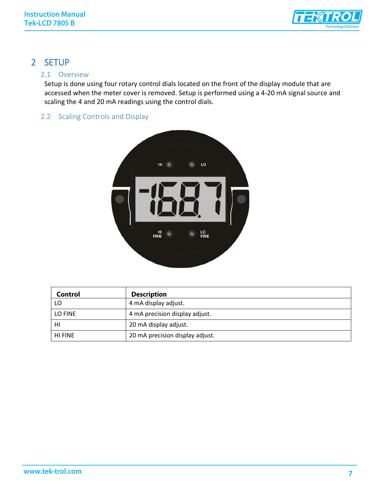

## <span id="page-8-0"></span>2 SETUP

## <span id="page-8-1"></span>2.1 Overview

Setup is done using four rotary control dials located on the front of the display module that are accessed when the meter cover is removed. Setup is performed using a 4-20 mA signal source and scaling the 4 and 20 mA readings using the control dials.

## <span id="page-8-2"></span>2.2 Scaling Controls and Display



| Control        | <b>Description</b>              |
|----------------|---------------------------------|
| LO             | 4 mA display adjust.            |
| LO FINE        | 4 mA precision display adjust.  |
| HI             | 20 mA display adjust.           |
| <b>HI FINE</b> | 20 mA precision display adjust. |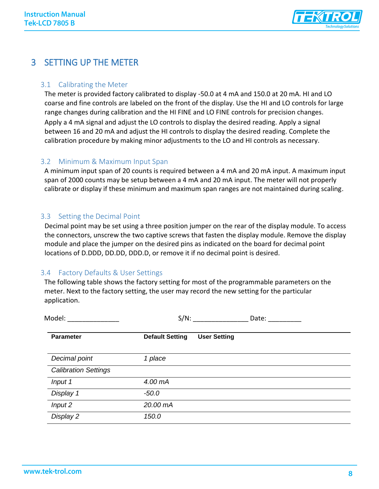

## <span id="page-9-0"></span>3 SETTING UP THE METER

## <span id="page-9-1"></span>3.1 Calibrating the Meter

The meter is provided factory calibrated to display -50.0 at 4 mA and 150.0 at 20 mA. HI and LO coarse and fine controls are labeled on the front of the display. Use the HI and LO controls for large range changes during calibration and the HI FINE and LO FINE controls for precision changes.

Apply a 4 mA signal and adjust the LO controls to display the desired reading. Apply a signal between 16 and 20 mA and adjust the HI controls to display the desired reading. Complete the calibration procedure by making minor adjustments to the LO and HI controls as necessary.

## <span id="page-9-2"></span>3.2 Minimum & Maximum Input Span

A minimum input span of 20 counts is required between a 4 mA and 20 mA input. A maximum input span of 2000 counts may be setup between a 4 mA and 20 mA input. The meter will not properly calibrate or display if these minimum and maximum span ranges are not maintained during scaling.

## <span id="page-9-3"></span>3.3 Setting the Decimal Point

Decimal point may be set using a three position jumper on the rear of the display module. To access the connectors, unscrew the two captive screws that fasten the display module. Remove the display module and place the jumper on the desired pins as indicated on the board for decimal point locations of D.DDD, DD.DD, DDD.D, or remove it if no decimal point is desired.

## <span id="page-9-4"></span>3.4 Factory Defaults & User Settings

The following table shows the factory setting for most of the programmable parameters on the meter. Next to the factory setting, the user may record the new setting for the particular application.

| Model:                      |                        | $S/N$ :             | Date: |
|-----------------------------|------------------------|---------------------|-------|
| <b>Parameter</b>            | <b>Default Setting</b> | <b>User Setting</b> |       |
| Decimal point               | 1 place                |                     |       |
| <b>Calibration Settings</b> |                        |                     |       |
| Input 1                     | 4.00 mA                |                     |       |
| Display 1                   | $-50.0$                |                     |       |
| Input 2                     | 20.00 mA               |                     |       |
| Display 2                   | 150.0                  |                     |       |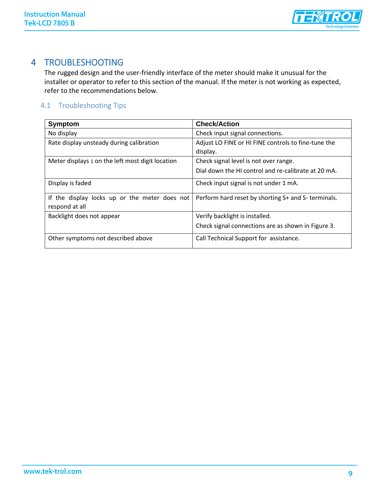

## 4 TROUBLESHOOTING

<span id="page-10-0"></span>The rugged design and the user-friendly interface of the meter should make it unusual for the installer or operator to refer to this section of the manual. If the meter is not working as expected, refer to the recommendations below.

## <span id="page-10-1"></span>4.1 Troubleshooting Tips

| <b>Symptom</b>                                   | <b>Check/Action</b>                                 |
|--------------------------------------------------|-----------------------------------------------------|
| No display                                       | Check input signal connections.                     |
| Rate display unsteady during calibration         | Adjust LO FINE or HI FINE controls to fine-tune the |
|                                                  | display.                                            |
| Meter displays 1 on the left most digit location | Check signal level is not over range.               |
|                                                  | Dial down the HI control and re-calibrate at 20 mA. |
| Display is faded                                 | Check input signal is not under 1 mA.               |
| If the display locks up or the meter does not    | Perform hard reset by shorting S+ and S- terminals. |
| respond at all                                   |                                                     |
| Backlight does not appear                        | Verify backlight is installed.                      |
|                                                  | Check signal connections are as shown in Figure 3.  |
| Other symptoms not described above               | Call Technical Support for assistance.              |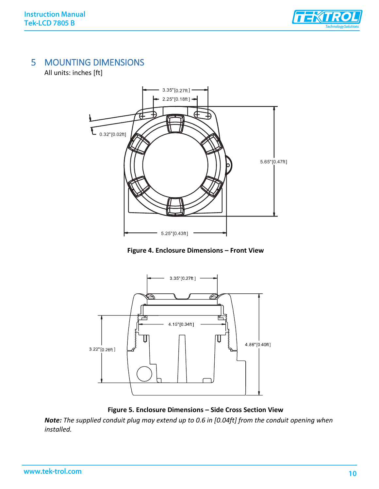

## <span id="page-11-0"></span>5 MOUNTING DIMENSIONS

All units: inches [ft]



**Figure 4. Enclosure Dimensions – Front View** 



**Figure 5. Enclosure Dimensions – Side Cross Section View** 

*Note: The supplied conduit plug may extend up to 0.6 in [0.04ft] from the conduit opening when installed.*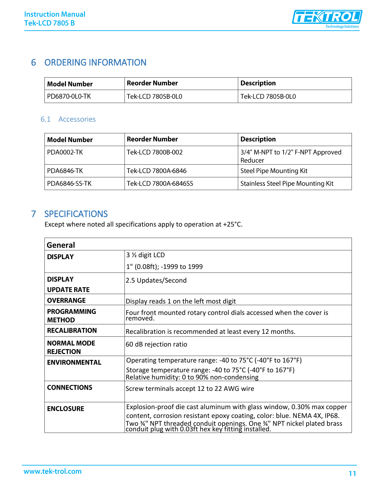

## <span id="page-12-0"></span>6 ORDERING INFORMATION

| Model Number  | Reorder Number    | <b>Description</b> |
|---------------|-------------------|--------------------|
| PD6870-0L0-TK | Tek-LCD 7805B-0L0 | Tek-LCD 7805B-0L0  |

## <span id="page-12-1"></span>6.1 Accessories

| <b>Model Number</b> | <b>Reorder Number</b> | <b>Description</b>                           |
|---------------------|-----------------------|----------------------------------------------|
| <b>PDA0002-TK</b>   | Tek-LCD 7800B-002     | 3/4" M-NPT to 1/2" F-NPT Approved<br>Reducer |
| PDA6846-TK          | Tek-LCD 7800A-6846    | Steel Pipe Mounting Kit                      |
| PDA6846-SS-TK       | Tek-LCD 7800A-6846SS  | <b>Stainless Steel Pipe Mounting Kit</b>     |

## <span id="page-12-2"></span>7 SPECIFICATIONS

Except where noted all specifications apply to operation at +25°C.

| General                                |                                                                                                                            |
|----------------------------------------|----------------------------------------------------------------------------------------------------------------------------|
| <b>DISPLAY</b>                         | 3 % digit LCD                                                                                                              |
|                                        | 1" (0.08ft); -1999 to 1999                                                                                                 |
| <b>DISPLAY</b>                         | 2.5 Updates/Second                                                                                                         |
| <b>UPDATE RATE</b>                     |                                                                                                                            |
| <b>OVERRANGE</b>                       | Display reads 1 on the left most digit                                                                                     |
| <b>PROGRAMMING</b><br><b>METHOD</b>    | Four front mounted rotary control dials accessed when the cover is<br>removed.                                             |
| <b>RECALIBRATION</b>                   | Recalibration is recommended at least every 12 months.                                                                     |
| <b>NORMAL MODE</b><br><b>REJECTION</b> | 60 dB rejection ratio                                                                                                      |
| <b>ENVIRONMENTAL</b>                   | Operating temperature range: -40 to 75°C (-40°F to 167°F)                                                                  |
|                                        | Storage temperature range: -40 to 75°C (-40°F to 167°F)<br>Relative humidity: 0 to 90% non-condensing                      |
| <b>CONNECTIONS</b>                     | Screw terminals accept 12 to 22 AWG wire                                                                                   |
| <b>ENCLOSURE</b>                       | Explosion-proof die cast aluminum with glass window, 0.30% max copper                                                      |
|                                        | content, corrosion resistant epoxy coating, color: blue. NEMA 4X, IP68.                                                    |
|                                        | Two 34" NPT threaded conduit openings. One 34" NPT nickel plated brass conduit plug with 0.03ft hex key fitting installed. |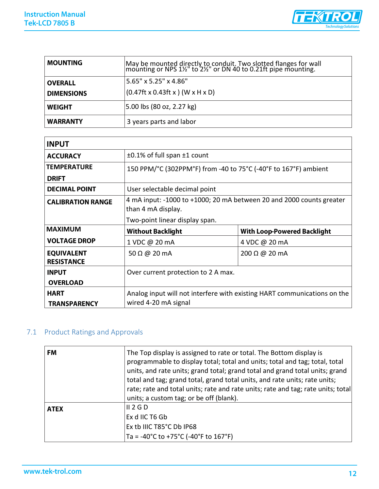

| <b>MOUNTING</b>   | May be mounted directly to conduit. Two slotted flanges for wall<br> mounting or NPS 1½" to 2½" or DN 40 to 0.21ft pipe mounting. |
|-------------------|-----------------------------------------------------------------------------------------------------------------------------------|
| <b>OVERALL</b>    | 5.65" x 5.25" x 4.86"                                                                                                             |
| <b>DIMENSIONS</b> | $(0.47$ ft x 0.43ft x $)(W \times H \times D)$                                                                                    |
| <b>WEIGHT</b>     | 5.00 lbs (80 oz, 2.27 kg)                                                                                                         |
| <b>WARRANTY</b>   | 3 years parts and labor                                                                                                           |

| $\pm 0.1\%$ of full span $\pm 1$ count                                                     |                                    |  |
|--------------------------------------------------------------------------------------------|------------------------------------|--|
| 150 PPM/°C (302PPM°F) from -40 to 75°C (-40°F to 167°F) ambient                            |                                    |  |
|                                                                                            |                                    |  |
| User selectable decimal point                                                              |                                    |  |
| 4 mA input: -1000 to +1000; 20 mA between 20 and 2000 counts greater<br>than 4 mA display. |                                    |  |
| Two-point linear display span.                                                             |                                    |  |
| <b>Without Backlight</b>                                                                   | <b>With Loop-Powered Backlight</b> |  |
| 1 VDC @ 20 mA                                                                              | 4 VDC @ 20 mA                      |  |
| 50 $\Omega$ @ 20 mA                                                                        | $200 \Omega \omega$ 20 mA          |  |
| Over current protection to 2 A max.                                                        |                                    |  |
|                                                                                            |                                    |  |
| Analog input will not interfere with existing HART communications on the                   |                                    |  |
|                                                                                            | wired 4-20 mA signal               |  |

## <span id="page-13-0"></span>7.1 Product Ratings and Approvals

| <b>FM</b>   | The Top display is assigned to rate or total. The Bottom display is<br>programmable to display total; total and units; total and tag; total, total<br>units, and rate units; grand total; grand total and grand total units; grand<br>total and tag; grand total, grand total units, and rate units; rate units;<br>rate; rate and total units; rate and rate units; rate and tag; rate units; total<br>units; a custom tag; or be off (blank). |
|-------------|-------------------------------------------------------------------------------------------------------------------------------------------------------------------------------------------------------------------------------------------------------------------------------------------------------------------------------------------------------------------------------------------------------------------------------------------------|
| <b>ATEX</b> | II 2 G D<br>Ex d IIC T6 Gb<br>Ex tb IIIC T85°C Db IP68<br>Ta = -40°C to +75°C (-40°F to 167°F)                                                                                                                                                                                                                                                                                                                                                  |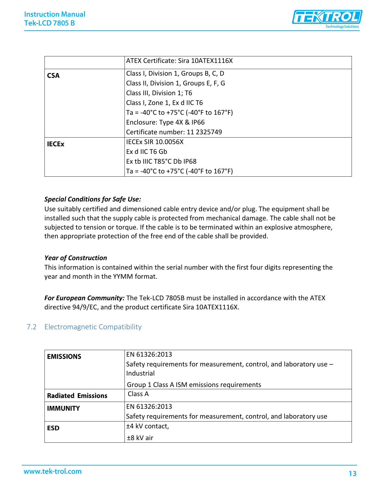

|              | ATEX Certificate: Sira 10ATEX1116X   |
|--------------|--------------------------------------|
| <b>CSA</b>   | Class I, Division 1, Groups B, C, D  |
|              | Class II, Division 1, Groups E, F, G |
|              | Class III, Division 1; T6            |
|              | Class I, Zone 1, Ex d IIC T6         |
|              | Ta = -40°C to +75°C (-40°F to 167°F) |
|              | Enclosure: Type 4X & IP66            |
|              | Certificate number: 11 2325749       |
| <b>IECEX</b> | <b>IECEX SIR 10.0056X</b>            |
|              | Ex d IIC T6 Gb                       |
|              | Ex tb IIIC T85°C Db IP68             |
|              | Ta = -40°C to +75°C (-40°F to 167°F) |

#### *Special Conditions for Safe Use:*

Use suitably certified and dimensioned cable entry device and/or plug. The equipment shall be installed such that the supply cable is protected from mechanical damage. The cable shall not be subjected to tension or torque. If the cable is to be terminated within an explosive atmosphere, then appropriate protection of the free end of the cable shall be provided.

#### *Year of Construction*

This information is contained within the serial number with the first four digits representing the year and month in the YYMM format.

*For European Community:* The Tek-LCD 7805B must be installed in accordance with the ATEX directive 94/9/EC, and the product certificate Sira 10ATEX1116X.

#### <span id="page-14-0"></span>7.2 Electromagnetic Compatibility

| <b>EMISSIONS</b>          | EN 61326:2013                                                                    |
|---------------------------|----------------------------------------------------------------------------------|
|                           | Safety requirements for measurement, control, and laboratory use -<br>Industrial |
|                           | Group 1 Class A ISM emissions requirements                                       |
| <b>Radiated Emissions</b> | Class A                                                                          |
| <b>IMMUNITY</b>           | EN 61326:2013                                                                    |
|                           | Safety requirements for measurement, control, and laboratory use                 |
| <b>ESD</b>                | ±4 kV contact,                                                                   |
|                           | $±8$ kV air                                                                      |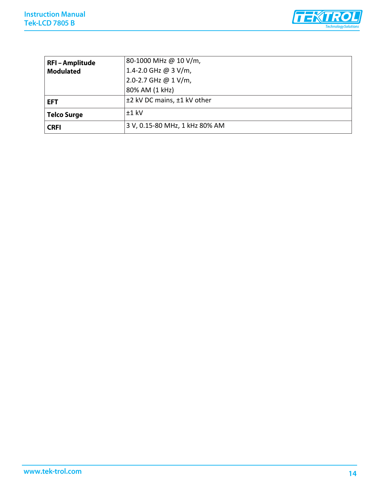

| <b>RFI-Amplitude</b> | 80-1000 MHz @ 10 V/m,          |
|----------------------|--------------------------------|
| <b>Modulated</b>     | 1.4-2.0 GHz @ 3 V/m,           |
|                      | 2.0-2.7 GHz @ 1 V/m,           |
|                      | 80% AM (1 kHz)                 |
| <b>EFT</b>           | ±2 kV DC mains, ±1 kV other    |
| <b>Telco Surge</b>   | $+1$ kV                        |
| <b>CRFI</b>          | 3 V, 0.15-80 MHz, 1 kHz 80% AM |